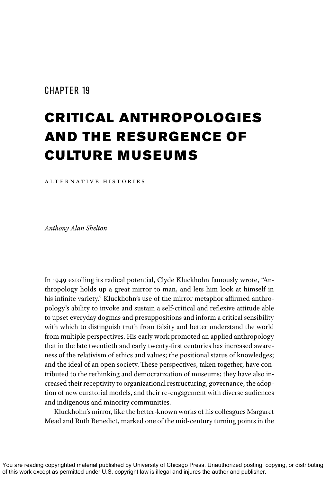### CHAPTER 19

# CRITICAL ANTHROPOLOGIES AND THE RESURGENCE OF CULTURE MUSEUMS

ALTERNATIVE HISTORIES

*Anthony Alan Shelton*

In 1949 extolling its radical potential, Clyde Kluckhohn famously wrote, "Anthropology holds up a great mirror to man, and lets him look at himself in his infinite variety." Kluckhohn's use of the mirror metaphor affirmed anthropology's ability to invoke and sustain a self-critical and reflexive attitude able to upset everyday dogmas and presuppositions and inform a critical sensibility with which to distinguish truth from falsity and better understand the world from multiple perspectives. His early work promoted an applied anthropology that in the late twentieth and early twenty-first centuries has increased awareness of the relativism of ethics and values; the positional status of knowledges; and the ideal of an open society. These perspectives, taken together, have contributed to the rethinking and democratization of museums; they have also increased their receptivity to organizational restructuring, governance, the adoption of new curatorial models, and their re-engagement with diverse audiences and indigenous and minority communities.

Kluckhohn's mirror, like the better-known works of his colleagues Margaret Mead and Ruth Benedict, marked one of the mid-century turning points in the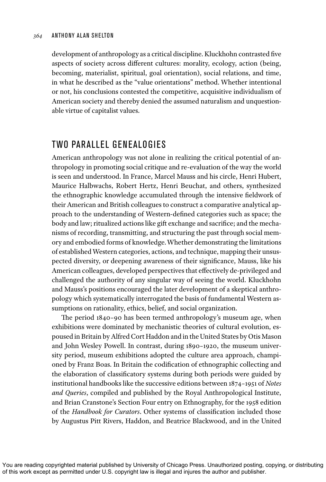development of anthropology as a critical discipline. Kluckhohn contrasted five aspects of society across different cultures: morality, ecology, action (being, becoming, materialist, spiritual, goal orientation), social relations, and time, in what he described as the "value orientations" method. Whether intentional or not, his conclusions contested the competitive, acquisitive individualism of American society and thereby denied the assumed naturalism and unquestionable virtue of capitalist values.

# TWO PARALLEL GENEALOGIES

American anthropology was not alone in realizing the critical potential of anthropology in promoting social critique and re-evaluation of the way the world is seen and understood. In France, Marcel Mauss and his circle, Henri Hubert, Maurice Halbwachs, Robert Hertz, Henri Beuchat, and others, synthesized the ethnographic knowledge accumulated through the intensive fieldwork of their American and British colleagues to construct a comparative analytical approach to the understanding of Western-defined categories such as space; the body and law; ritualized actions like gift exchange and sacrifice; and the mechanisms of recording, transmitting, and structuring the past through social memory and embodied forms of knowledge. Whether demonstrating the limitations of established Western categories, actions, and technique, mapping their unsuspected diversity, or deepening awareness of their significance, Mauss, like his American colleagues, developed perspectives that effectively de-privileged and challenged the authority of any singular way of seeing the world. Kluckhohn and Mauss's positions encouraged the later development of a skeptical anthropology which systematically interrogated the basis of fundamental Western assumptions on rationality, ethics, belief, and social organization.

The period 1840–90 has been termed anthropology's museum age, when exhibitions were dominated by mechanistic theories of cultural evolution, espoused in Britain by Alfred Cort Haddon and in the United States by Otis Mason and John Wesley Powell. In contrast, during 1890–1920, the museum university period, museum exhibitions adopted the culture area approach, championed by Franz Boas. In Britain the codification of ethnographic collecting and the elaboration of classificatory systems during both periods were guided by institutional handbooks like the successive editions between 1874–1951 of *Notes and Queries*, compiled and published by the Royal Anthropological Institute, and Brian Cranstone's Section Four entry on Ethnography, for the 1958 edition of the *Handbook for Curators*. Other systems of classification included those by Augustus Pitt Rivers, Haddon, and Beatrice Blackwood, and in the United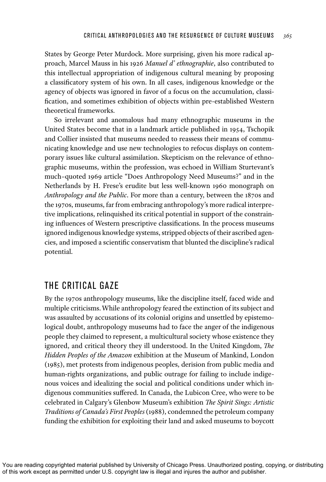States by George Peter Murdock. More surprising, given his more radical approach, Marcel Mauss in his 1926 *Manuel d' ethnographie*, also contributed to this intellectual appropriation of indigenous cultural meaning by proposing a classificatory system of his own. In all cases, indigenous knowledge or the agency of objects was ignored in favor of a focus on the accumulation, classification, and sometimes exhibition of objects within pre-established Western theoretical frameworks.

So irrelevant and anomalous had many ethnographic museums in the United States become that in a landmark article published in 1954, Tschopik and Collier insisted that museums needed to reassess their means of communicating knowledge and use new technologies to refocus displays on contemporary issues like cultural assimilation. Skepticism on the relevance of ethnographic museums, within the profession, was echoed in William Sturtevant's much–quoted 1969 article "Does Anthropology Need Museums?" and in the Netherlands by H. Frese's erudite but less well-known 1960 monograph on *Anthropology and the Public*. For more than a century, between the 1870s and the 1970s, museums, far from embracing anthropology's more radical interpretive implications, relinquished its critical potential in support of the constraining influences of Western prescriptive classifications. In the process museums ignored indigenous knowledge systems, stripped objects of their ascribed agencies, and imposed a scientific conservatism that blunted the discipline's radical potential.

# THE CRITICAL GAZE

By the 1970s anthropology museums, like the discipline itself, faced wide and multiple criticisms. While anthropology feared the extinction of its subject and was assaulted by accusations of its colonial origins and unsettled by epistemological doubt, anthropology museums had to face the anger of the indigenous people they claimed to represent, a multicultural society whose existence they ignored, and critical theory they ill understood. In the United Kingdom, *The Hidden Peoples of the Amazon* exhibition at the Museum of Mankind, London (1985), met protests from indigenous peoples, derision from public media and human-rights organizations, and public outrage for failing to include indigenous voices and idealizing the social and political conditions under which indigenous communities suffered. In Canada, the Lubicon Cree, who were to be celebrated in Calgary's Glenbow Museum's exhibition *The Spirit Sings: Artistic Traditions of Canada's First Peoples* (1988), condemned the petroleum company funding the exhibition for exploiting their land and asked museums to boycott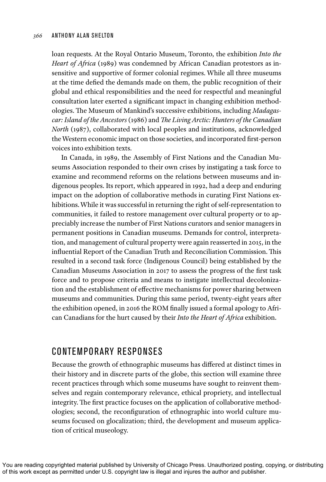loan requests. At the Royal Ontario Museum, Toronto, the exhibition *Into the Heart of Africa* (1989) was condemned by African Canadian protestors as insensitive and supportive of former colonial regimes. While all three museums at the time defied the demands made on them, the public recognition of their global and ethical responsibilities and the need for respectful and meaningful consultation later exerted a significant impact in changing exhibition methodologies. The Museum of Mankind's successive exhibitions, including *Madagascar: Island of the Ancestors* (1986) and *The Living Arctic: Hunters of the Canadian North* (1987), collaborated with local peoples and institutions, acknowledged the Western economic impact on those societies, and incorporated first-person voices into exhibition texts.

In Canada, in 1989, the Assembly of First Nations and the Canadian Museums Association responded to their own crises by instigating a task force to examine and recommend reforms on the relations between museums and indigenous peoples. Its report, which appeared in 1992, had a deep and enduring impact on the adoption of collaborative methods in curating First Nations exhibitions. While it was successful in returning the right of self-representation to communities, it failed to restore management over cultural property or to appreciably increase the number of First Nations curators and senior managers in permanent positions in Canadian museums. Demands for control, interpretation, and management of cultural property were again reasserted in 2015, in the influential Report of the Canadian Truth and Reconciliation Commission. This resulted in a second task force (Indigenous Council) being established by the Canadian Museums Association in 2017 to assess the progress of the first task force and to propose criteria and means to instigate intellectual decolonization and the establishment of effective mechanisms for power sharing between museums and communities. During this same period, twenty-eight years after the exhibition opened, in 2016 the ROM finally issued a formal apology to African Canadians for the hurt caused by their *Into the Heart of Africa* exhibition.

### CONTEMPORARY RESPONSES

Because the growth of ethnographic museums has differed at distinct times in their history and in discrete parts of the globe, this section will examine three recent practices through which some museums have sought to reinvent themselves and regain contemporary relevance, ethical propriety, and intellectual integrity. The first practice focuses on the application of collaborative methodologies; second, the reconfiguration of ethnographic into world culture museums focused on glocalization; third, the development and museum application of critical museology.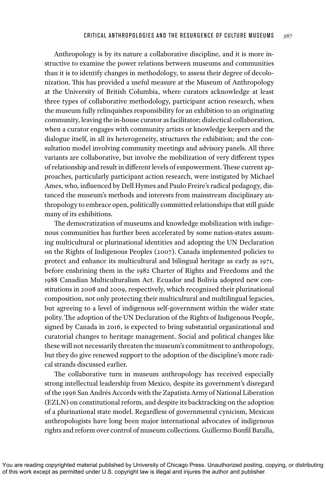Anthropology is by its nature a collaborative discipline, and it is more instructive to examine the power relations between museums and communities than it is to identify changes in methodology, to assess their degree of decolonization. This has provided a useful measure at the Museum of Anthropology at the University of British Columbia, where curators acknowledge at least three types of collaborative methodology, participant action research, when the museum fully relinquishes responsibility for an exhibition to an originating community, leaving the in-house curator as facilitator; dialectical collaboration, when a curator engages with community artists or knowledge keepers and the dialogue itself, in all its heterogeneity, structures the exhibition; and the consultation model involving community meetings and advisory panels. All three variants are collaborative, but involve the mobilization of very different types of relationship and result in different levels of empowerment. These current approaches, particularly participant action research, were instigated by Michael Ames, who, influenced by Dell Hymes and Paulo Freire's radical pedagogy, distanced the museum's methods and interests from mainstream disciplinary anthropology to embrace open, politically committed relationships that still guide many of its exhibitions.

The democratization of museums and knowledge mobilization with indigenous communities has further been accelerated by some nation-states assuming multicultural or plurinational identities and adopting the UN Declaration on the Rights of Indigenous Peoples (2007). Canada implemented policies to protect and enhance its multicultural and bilingual heritage as early as 1971, before enshrining them in the 1982 Charter of Rights and Freedoms and the 1988 Canadian Multiculturalism Act. Ecuador and Bolivia adopted new constitutions in 2008 and 2009, respectively, which recognized their plurinational composition, not only protecting their multicultural and multilingual legacies, but agreeing to a level of indigenous self-government within the wider state polity. The adoption of the UN Declaration of the Rights of Indigenous People, signed by Canada in 2016, is expected to bring substantial organizational and curatorial changes to heritage management. Social and political changes like these will not necessarily threaten the museum's commitment to anthropology, but they do give renewed support to the adoption of the discipline's more radical strands discussed earlier.

The collaborative turn in museum anthropology has received especially strong intellectual leadership from Mexico, despite its government's disregard of the 1996 San Andrés Accords with the Zapatista Army of National Liberation (EZLN) on constitutional reform, and despite its backtracking on the adoption of a plurinational state model. Regardless of governmental cynicism, Mexican anthropologists have long been major international advocates of indigenous rights and reform over control of museum collections. Guillermo Bonfil Batalla,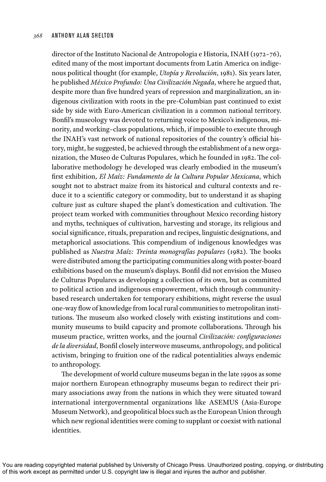director of the Instituto Nacional de Antropologia e Historia, INAH (1972–76), edited many of the most important documents from Latin America on indigenous political thought (for example, *Utopía y Revolución*, 1981). Six years later, he published *México Profundo: Una Civilización Negada*, where he argued that, despite more than five hundred years of repression and marginalization, an indigenous civilization with roots in the pre-Columbian past continued to exist side by side with Euro-American civilization in a common national territory. Bonfil's museology was devoted to returning voice to Mexico's indigenous, minority, and working–class populations, which, if impossible to execute through the INAH's vast network of national repositories of the country's official history, might, he suggested, be achieved through the establishment of a new organization, the Museo de Culturas Populares, which he founded in 1982. The collaborative methodology he developed was clearly embodied in the museum's first exhibition, *El Maíz: Fundamento de la Cultura Popular Mexicana*, which sought not to abstract maize from its historical and cultural contexts and reduce it to a scientific category or commodity, but to understand it as shaping culture just as culture shaped the plant's domestication and cultivation. The project team worked with communities throughout Mexico recording history and myths, techniques of cultivation, harvesting and storage, its religious and social significance, rituals, preparation and recipes, linguistic designations, and metaphorical associations. This compendium of indigenous knowledges was published as *Nuestra Maíz: Treinta monografías populares* (1982). The books were distributed among the participating communities along with poster-board exhibitions based on the museum's displays. Bonfil did not envision the Museo de Culturas Populares as developing a collection of its own, but as committed to political action and indigenous empowerment, which through communitybased research undertaken for temporary exhibitions, might reverse the usual one-way flow of knowledge from local rural communities to metropolitan institutions. The museum also worked closely with existing institutions and community museums to build capacity and promote collaborations. Through his museum practice, written works, and the journal *Civilización: configuraciones de la diversidad*, Bonfil closely interwove museums, anthropology, and political activism, bringing to fruition one of the radical potentialities always endemic to anthropology.

The development of world culture museums began in the late 1990s as some major northern European ethnography museums began to redirect their primary associations away from the nations in which they were situated toward international intergovernmental organizations like ASEMUS (Asia-Europe Museum Network), and geopolitical blocs such as the European Union through which new regional identities were coming to supplant or coexist with national identities.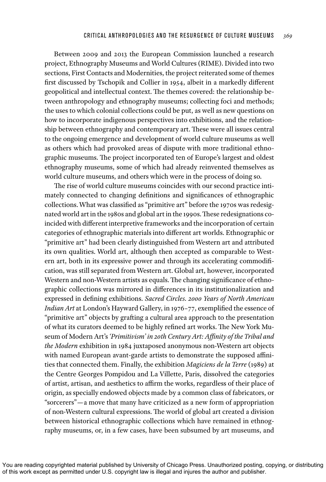Between 2009 and 2013 the European Commission launched a research project, Ethnography Museums and World Cultures (RIME). Divided into two sections, First Contacts and Modernities, the project reiterated some of themes first discussed by Tschopik and Collier in 1954, albeit in a markedly different geopolitical and intellectual context. The themes covered: the relationship between anthropology and ethnography museums; collecting foci and methods; the uses to which colonial collections could be put, as well as new questions on how to incorporate indigenous perspectives into exhibitions, and the relationship between ethnography and contemporary art. These were all issues central to the ongoing emergence and development of world culture museums as well as others which had provoked areas of dispute with more traditional ethnographic museums. The project incorporated ten of Europe's largest and oldest ethnography museums, some of which had already reinvented themselves as world culture museums, and others which were in the process of doing so.

The rise of world culture museums coincides with our second practice intimately connected to changing definitions and significances of ethnographic collections. What was classified as "primitive art" before the 1970s was redesignated world art in the 1980s and global art in the 1990s. These redesignations coincided with different interpretive frameworks and the incorporation of certain categories of ethnographic materials into different art worlds. Ethnographic or "primitive art" had been clearly distinguished from Western art and attributed its own qualities. World art, although then accepted as comparable to Western art, both in its expressive power and through its accelerating commodification, was still separated from Western art. Global art, however, incorporated Western and non-Western artists as equals. The changing significance of ethnographic collections was mirrored in differences in its institutionalization and expressed in defining exhibitions. *Sacred Circles. 2000 Years of North American Indian Art* at London's Hayward Gallery, in 1976–77, exemplified the essence of "primitive art" objects by grafting a cultural area approach to the presentation of what its curators deemed to be highly refined art works. The New York Museum of Modern Art's *'Primitivism' in 20th Century Art: Affinity of the Tribal and the Modern* exhibition in 1984 juxtaposed anonymous non-Western art objects with named European avant-garde artists to demonstrate the supposed affinities that connected them. Finally, the exhibition *Magiciens de la Terre* (1989) at the Centre Georges Pompidou and La Villette, Paris, dissolved the categories of artist, artisan, and aesthetics to affirm the works, regardless of their place of origin, as specially endowed objects made by a common class of fabricators, or "sorcerers"—a move that many have criticized as a new form of appropriation of non-Western cultural expressions. The world of global art created a division between historical ethnographic collections which have remained in ethnography museums, or, in a few cases, have been subsumed by art museums, and

You are reading copyrighted material published by University of Chicago Press. Unauthorized posting, copying, or distributing of this work except as permitted under U.S. copyright law is illegal and injures the author and publisher.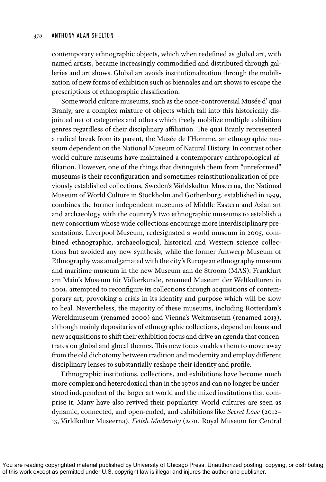contemporary ethnographic objects, which when redefined as global art, with named artists, became increasingly commodified and distributed through galleries and art shows. Global art avoids institutionalization through the mobilization of new forms of exhibition such as biennales and art shows to escape the prescriptions of ethnographic classification.

Some world culture museums, such as the once-controversial Musée d' quai Branly, are a complex mixture of objects which fall into this historically disjointed net of categories and others which freely mobilize multiple exhibition genres regardless of their disciplinary affiliation. The quai Branly represented a radical break from its parent, the Musée de l'Homme, an ethnographic museum dependent on the National Museum of Natural History. In contrast other world culture museums have maintained a contemporary anthropological affiliation. However, one of the things that distinguish them from "unreformed" museums is their reconfiguration and sometimes reinstitutionalization of previously established collections. Sweden's Världskultur Museerna, the National Museum of World Culture in Stockholm and Gothenburg, established in 1999, combines the former independent museums of Middle Eastern and Asian art and archaeology with the country's two ethnographic museums to establish a new consortium whose wide collections encourage more interdisciplinary presentations. Liverpool Museum, redesignated a world museum in 2005, combined ethnographic, archaeological, historical and Western science collections but avoided any new synthesis, while the former Antwerp Museum of Ethnography was amalgamated with the city's European ethnography museum and maritime museum in the new Museum aan de Stroom (MAS). Frankfurt am Main's Museum für Völkerkunde, renamed Museum der Weltkulturen in 2001, attempted to reconfigure its collections through acquisitions of contemporary art, provoking a crisis in its identity and purpose which will be slow to heal. Nevertheless, the majority of these museums, including Rotterdam's Wereldmuseum (renamed 2000) and Vienna's Weltmuseum (renamed 2013), although mainly depositaries of ethnographic collections, depend on loans and new acquisitions to shift their exhibition focus and drive an agenda that concentrates on global and glocal themes. This new focus enables them to move away from the old dichotomy between tradition and modernity and employ different disciplinary lenses to substantially reshape their identity and profile.

Ethnographic institutions, collections, and exhibitions have become much more complex and heterodoxical than in the 1970s and can no longer be understood independent of the larger art world and the mixed institutions that comprise it. Many have also revived their popularity. World cultures are seen as dynamic, connected, and open-ended, and exhibitions like *Secret Love* (2012– 13, Världkultur Museerna), *Fetish Modernity* (2011, Royal Museum for Central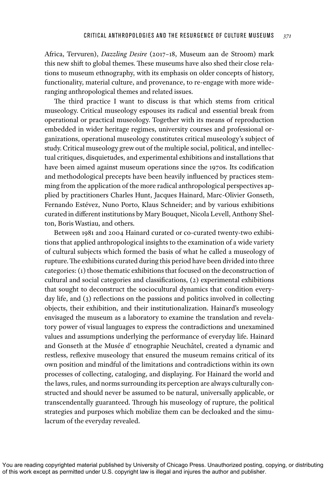Africa, Tervuren), *Dazzling Desire* (2017–18, Museum aan de Stroom) mark this new shift to global themes. These museums have also shed their close relations to museum ethnography, with its emphasis on older concepts of history, functionality, material culture, and provenance, to re-engage with more wideranging anthropological themes and related issues.

The third practice I want to discuss is that which stems from critical museology. Critical museology espouses its radical and essential break from operational or practical museology. Together with its means of reproduction embedded in wider heritage regimes, university courses and professional organizations, operational museology constitutes critical museology's subject of study. Critical museology grew out of the multiple social, political, and intellectual critiques, disquietudes, and experimental exhibitions and installations that have been aimed against museum operations since the 1970s. Its codification and methodological precepts have been heavily influenced by practices stemming from the application of the more radical anthropological perspectives applied by practitioners Charles Hunt, Jacques Hainard, Marc-Olivier Gonseth, Fernando Estévez, Nuno Porto, Klaus Schneider; and by various exhibitions curated in different institutions by Mary Bouquet, Nicola Levell, Anthony Shelton, Boris Wastiau, and others.

Between 1981 and 2004 Hainard curated or co-curated twenty-two exhibitions that applied anthropological insights to the examination of a wide variety of cultural subjects which formed the basis of what he called a museology of rupture. The exhibitions curated during this period have been divided into three categories: (1) those thematic exhibitions that focused on the deconstruction of cultural and social categories and classifications, (2) experimental exhibitions that sought to deconstruct the sociocultural dynamics that condition everyday life, and (3) reflections on the passions and politics involved in collecting objects, their exhibition, and their institutionalization. Hainard's museology envisaged the museum as a laboratory to examine the translation and revelatory power of visual languages to express the contradictions and unexamined values and assumptions underlying the performance of everyday life. Hainard and Gonseth at the Musée d' etnographie Neuchâtel, created a dynamic and restless, reflexive museology that ensured the museum remains critical of its own position and mindful of the limitations and contradictions within its own processes of collecting, cataloging, and displaying. For Hainard the world and the laws, rules, and norms surrounding its perception are always culturally constructed and should never be assumed to be natural, universally applicable, or transcendentally guaranteed. Through his museology of rupture, the political strategies and purposes which mobilize them can be decloaked and the simulacrum of the everyday revealed.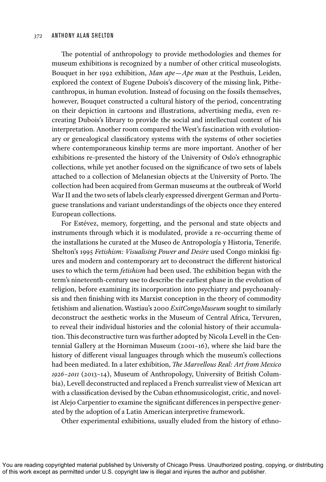The potential of anthropology to provide methodologies and themes for museum exhibitions is recognized by a number of other critical museologists. Bouquet in her 1992 exhibition, *Man ape—Ape man* at the Pesthuis, Leiden, explored the context of Eugene Dubois's discovery of the missing link, Pithecanthropus, in human evolution. Instead of focusing on the fossils themselves, however, Bouquet constructed a cultural history of the period, concentrating on their depiction in cartoons and illustrations, advertising media, even recreating Dubois's library to provide the social and intellectual context of his interpretation. Another room compared the West's fascination with evolutionary or genealogical classificatory systems with the systems of other societies where contemporaneous kinship terms are more important. Another of her exhibitions re-presented the history of the University of Oslo's ethnographic collections, while yet another focused on the significance of two sets of labels attached to a collection of Melanesian objects at the University of Porto. The collection had been acquired from German museums at the outbreak of World War II and the two sets of labels clearly expressed divergent German and Portuguese translations and variant understandings of the objects once they entered European collections.

For Estévez, memory, forgetting, and the personal and state objects and instruments through which it is modulated, provide a re-occurring theme of the installations he curated at the Museo de Antropología y Historia, Tenerife. Shelton's 1995 *Fetishism: Visualising Power and Desire* used Congo minkisi figures and modern and contemporary art to deconstruct the different historical uses to which the term *fetishism* had been used. The exhibition began with the term's nineteenth-century use to describe the earliest phase in the evolution of religion, before examining its incorporation into psychiatry and psychoanalysis and then finishing with its Marxist conception in the theory of commodity fetishism and alienation. Wastiau's 2000 *ExitCongoMuseum* sought to similarly deconstruct the aesthetic works in the Museum of Central Africa, Tervuren, to reveal their individual histories and the colonial history of their accumulation. This deconstructive turn was further adopted by Nicola Levell in the Centennial Gallery at the Horniman Museum (2001–16), where she laid bare the history of different visual languages through which the museum's collections had been mediated. In a later exhibition, *The Marvellous Real: Art from Mexico 1926–2011* (2013–14), Museum of Anthropology, University of British Columbia), Levell deconstructed and replaced a French surrealist view of Mexican art with a classification devised by the Cuban ethnomusicologist, critic, and novelist Alejo Carpentier to examine the significant differences in perspective generated by the adoption of a Latin American interpretive framework.

Other experimental exhibitions, usually eluded from the history of ethno-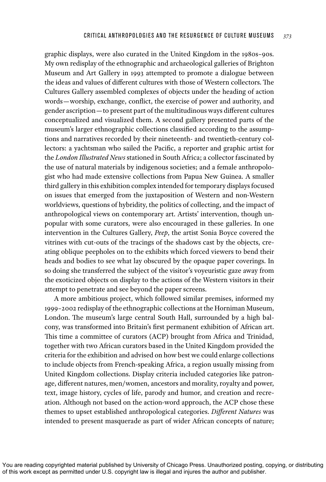graphic displays, were also curated in the United Kingdom in the 1980s–90s. My own redisplay of the ethnographic and archaeological galleries of Brighton Museum and Art Gallery in 1993 attempted to promote a dialogue between the ideas and values of different cultures with those of Western collectors. The Cultures Gallery assembled complexes of objects under the heading of action words—worship, exchange, conflict, the exercise of power and authority, and gender ascription—to present part of the multitudinous ways different cultures conceptualized and visualized them. A second gallery presented parts of the museum's larger ethnographic collections classified according to the assumptions and narratives recorded by their nineteenth- and twentieth-century collectors: a yachtsman who sailed the Pacific, a reporter and graphic artist for the *London Illustrated News* stationed in South Africa; a collector fascinated by the use of natural materials by indigenous societies; and a female anthropologist who had made extensive collections from Papua New Guinea. A smaller third gallery in this exhibition complex intended for temporary displays focused on issues that emerged from the juxtaposition of Western and non-Western worldviews, questions of hybridity, the politics of collecting, and the impact of anthropological views on contemporary art. Artists' intervention, though unpopular with some curators, were also encouraged in these galleries. In one intervention in the Cultures Gallery, *Peep*, the artist Sonia Boyce covered the vitrines with cut-outs of the tracings of the shadows cast by the objects, creating oblique peepholes on to the exhibits which forced viewers to bend their heads and bodies to see what lay obscured by the opaque paper coverings. In so doing she transferred the subject of the visitor's voyeuristic gaze away from the exoticized objects on display to the actions of the Western visitors in their attempt to penetrate and see beyond the paper screens.

A more ambitious project, which followed similar premises, informed my 1999–2002 redisplay of the ethnographic collections at the Horniman Museum, London. The museum's large central South Hall, surrounded by a high balcony, was transformed into Britain's first permanent exhibition of African art. This time a committee of curators (ACP) brought from Africa and Trinidad, together with two African curators based in the United Kingdom provided the criteria for the exhibition and advised on how best we could enlarge collections to include objects from French-speaking Africa, a region usually missing from United Kingdom collections. Display criteria included categories like patronage, different natures, men/women, ancestors and morality, royalty and power, text, image history, cycles of life, parody and humor, and creation and recreation. Although not based on the action-word approach, the ACP chose these themes to upset established anthropological categories. *Different Natures* was intended to present masquerade as part of wider African concepts of nature;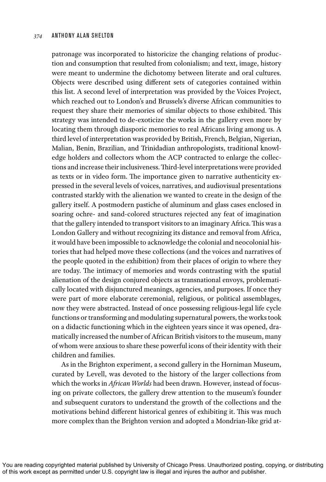patronage was incorporated to historicize the changing relations of production and consumption that resulted from colonialism; and text, image, history were meant to undermine the dichotomy between literate and oral cultures. Objects were described using different sets of categories contained within this list. A second level of interpretation was provided by the Voices Project, which reached out to London's and Brussels's diverse African communities to request they share their memories of similar objects to those exhibited. This strategy was intended to de-exoticize the works in the gallery even more by locating them through diasporic memories to real Africans living among us. A third level of interpretation was provided by British, French, Belgian, Nigerian, Malian, Benin, Brazilian, and Trinidadian anthropologists, traditional knowledge holders and collectors whom the ACP contracted to enlarge the collections and increase their inclusiveness. Third-level interpretations were provided as texts or in video form. The importance given to narrative authenticity expressed in the several levels of voices, narratives, and audiovisual presentations contrasted starkly with the alienation we wanted to create in the design of the gallery itself. A postmodern pastiche of aluminum and glass cases enclosed in soaring ochre- and sand-colored structures rejected any feat of imagination that the gallery intended to transport visitors to an imaginary Africa. This was a London Gallery and without recognizing its distance and removal from Africa, it would have been impossible to acknowledge the colonial and neocolonial histories that had helped move these collections (and the voices and narratives of the people quoted in the exhibition) from their places of origin to where they are today. The intimacy of memories and words contrasting with the spatial alienation of the design conjured objects as transnational envoys, problematically located with disjunctured meanings, agencies, and purposes. If once they were part of more elaborate ceremonial, religious, or political assemblages, now they were abstracted. Instead of once possessing religious-legal life cycle functions or transforming and modulating supernatural powers, the works took on a didactic functioning which in the eighteen years since it was opened, dramatically increased the number of African British visitors to the museum, many of whom were anxious to share these powerful icons of their identity with their children and families.

As in the Brighton experiment, a second gallery in the Horniman Museum, curated by Levell, was devoted to the history of the larger collections from which the works in *African Worlds* had been drawn. However, instead of focusing on private collectors, the gallery drew attention to the museum's founder and subsequent curators to understand the growth of the collections and the motivations behind different historical genres of exhibiting it. This was much more complex than the Brighton version and adopted a Mondrian-like grid at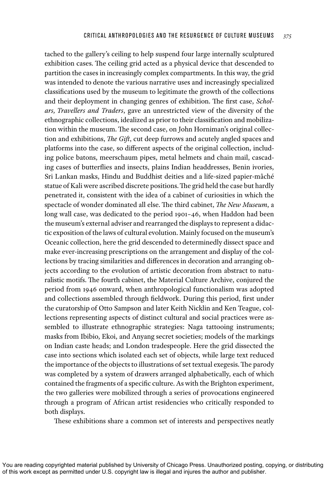tached to the gallery's ceiling to help suspend four large internally sculptured exhibition cases. The ceiling grid acted as a physical device that descended to partition the cases in increasingly complex compartments. In this way, the grid was intended to denote the various narrative uses and increasingly specialized classifications used by the museum to legitimate the growth of the collections and their deployment in changing genres of exhibition. The first case, *Scholars, Travellers and Traders*, gave an unrestricted view of the diversity of the ethnographic collections, idealized as prior to their classification and mobilization within the museum. The second case, on John Horniman's original collection and exhibitions, *The Gift*, cut deep furrows and acutely angled spaces and platforms into the case, so different aspects of the original collection, including police batons, meerschaum pipes, metal helmets and chain mail, cascading cases of butterflies and insects, plains Indian headdresses, Benin ivories, Sri Lankan masks, Hindu and Buddhist deities and a life-sized papier-mâché statue of Kali were ascribed discrete positions. The grid held the case but hardly penetrated it, consistent with the idea of a cabinet of curiosities in which the spectacle of wonder dominated all else. The third cabinet, *The New Museum*, a long wall case, was dedicated to the period 1901–46, when Haddon had been the museum's external adviser and rearranged the displays to represent a didactic exposition of the laws of cultural evolution. Mainly focused on the museum's Oceanic collection, here the grid descended to determinedly dissect space and make ever-increasing prescriptions on the arrangement and display of the collections by tracing similarities and differences in decoration and arranging objects according to the evolution of artistic decoration from abstract to naturalistic motifs. The fourth cabinet, the Material Culture Archive, conjured the period from 1946 onward, when anthropological functionalism was adopted and collections assembled through fieldwork. During this period, first under the curatorship of Otto Sampson and later Keith Nicklin and Ken Teague, collections representing aspects of distinct cultural and social practices were assembled to illustrate ethnographic strategies: Naga tattooing instruments; masks from Ibibio, Ekoi, and Anyang secret societies; models of the markings on Indian caste heads; and London tradespeople. Here the grid dissected the case into sections which isolated each set of objects, while large text reduced the importance of the objects to illustrations of set textual exegesis. The parody was completed by a system of drawers arranged alphabetically, each of which contained the fragments of a specific culture. As with the Brighton experiment, the two galleries were mobilized through a series of provocations engineered through a program of African artist residencies who critically responded to both displays.

These exhibitions share a common set of interests and perspectives neatly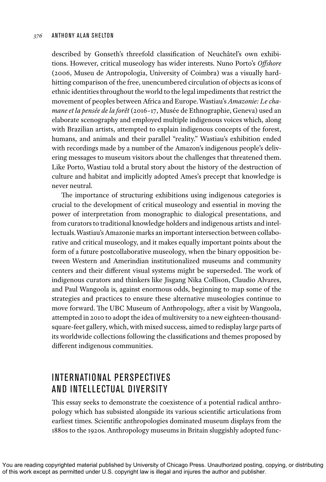described by Gonseth's threefold classification of Neuchâtel's own exhibitions. However, critical museology has wider interests. Nuno Porto's *Offshore* (2006, Museu de Antropologia, University of Coimbra) was a visually hardhitting comparison of the free, unencumbered circulation of objects as icons of ethnic identities throughout the world to the legal impediments that restrict the movement of peoples between Africa and Europe. Wastiau's *Amazonie: Le chamane et la pensée de la forêt* (2016–17, Musée de Ethnographie, Geneva) used an elaborate scenography and employed multiple indigenous voices which, along with Brazilian artists, attempted to explain indigenous concepts of the forest, humans, and animals and their parallel "reality." Wastiau's exhibition ended with recordings made by a number of the Amazon's indigenous people's delivering messages to museum visitors about the challenges that threatened them. Like Porto, Wastiau told a brutal story about the history of the destruction of culture and habitat and implicitly adopted Ames's precept that knowledge is never neutral.

The importance of structuring exhibitions using indigenous categories is crucial to the development of critical museology and essential in moving the power of interpretation from monographic to dialogical presentations, and from curators to traditional knowledge holders and indigenous artists and intellectuals. Wastiau's Amazonie marks an important intersection between collaborative and critical museology, and it makes equally important points about the form of a future postcollaborative museology, when the binary opposition between Western and Amerindian institutionalized museums and community centers and their different visual systems might be superseded. The work of indigenous curators and thinkers like Jisgang Nika Collison, Claudio Alvares, and Paul Wangoola is, against enormous odds, beginning to map some of the strategies and practices to ensure these alternative museologies continue to move forward. The UBC Museum of Anthropology, after a visit by Wangoola, attempted in 2010 to adopt the idea of multiversity to a new eighteen-thousandsquare-feet gallery, which, with mixed success, aimed to redisplay large parts of its worldwide collections following the classifications and themes proposed by different indigenous communities.

# INTERNATIONAL PERSPECTIVES AND INTELLECTUAL DIVERSITY

This essay seeks to demonstrate the coexistence of a potential radical anthropology which has subsisted alongside its various scientific articulations from earliest times. Scientific anthropologies dominated museum displays from the 1880s to the 1920s. Anthropology museums in Britain sluggishly adopted func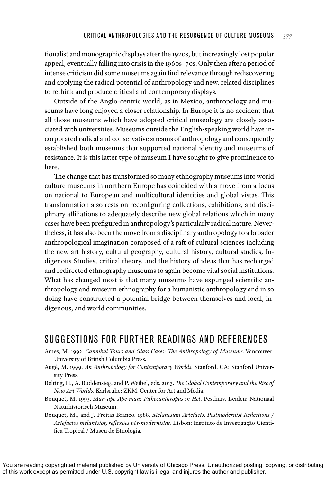tionalist and monographic displays after the 1920s, but increasingly lost popular appeal, eventually falling into crisis in the 1960s–70s. Only then after a period of intense criticism did some museums again find relevance through rediscovering and applying the radical potential of anthropology and new, related disciplines to rethink and produce critical and contemporary displays.

Outside of the Anglo-centric world, as in Mexico, anthropology and museums have long enjoyed a closer relationship. In Europe it is no accident that all those museums which have adopted critical museology are closely associated with universities. Museums outside the English-speaking world have incorporated radical and conservative streams of anthropology and consequently established both museums that supported national identity and museums of resistance. It is this latter type of museum I have sought to give prominence to here.

The change that has transformed so many ethnography museums into world culture museums in northern Europe has coincided with a move from a focus on national to European and multicultural identities and global vistas. This transformation also rests on reconfiguring collections, exhibitions, and disciplinary affiliations to adequately describe new global relations which in many cases have been prefigured in anthropology's particularly radical nature. Nevertheless, it has also been the move from a disciplinary anthropology to a broader anthropological imagination composed of a raft of cultural sciences including the new art history, cultural geography, cultural history, cultural studies, Indigenous Studies, critical theory, and the history of ideas that has recharged and redirected ethnography museums to again become vital social institutions. What has changed most is that many museums have expunged scientific anthropology and museum ethnography for a humanistic anthropology and in so doing have constructed a potential bridge between themselves and local, indigenous, and world communities.

# SUGGESTIONS FOR FURTHER READINGS AND REFERENCES

- Ames, M. 1992. *Cannibal Tours and Glass Cases: The Anthropology of Museums*. Vancouver: University of British Columbia Press.
- Augé, M. 1999, *An Anthropology for Contemporary Worlds*. Stanford, CA: Stanford University Press.
- Belting, H., A. Buddensieg, and P. Weibel, eds. 2013. *The Global Contemporary and the Rise of New Art Worlds*. Karlsruhe: ZKM. Center for Art and Media.
- Bouquet, M. 1993. *Man-ape Ape-man: Pithecanthropus in Het*. Pesthuis, Leiden: Nationaal Naturhistorisch Museum.
- Bouquet, M., and J. Freitas Branco. 1988. *Melanesian Artefacts, Postmodernist Reflections / Artefactos melanésios, reflexões pós-modernistas*. Lisbon: Instituto de Investigação Científica Tropical / Museu de Etnologia.

You are reading copyrighted material published by University of Chicago Press. Unauthorized posting, copying, or distributing of this work except as permitted under U.S. copyright law is illegal and injures the author and publisher.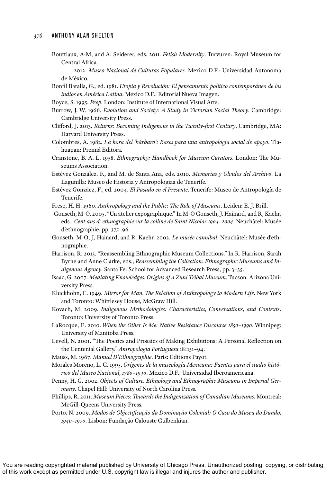- Bouttiaux, A-M, and A. Seiderer, eds. 2011. *Fetish Modernity*. Turvuren: Royal Museum for Central Africa.
- ———. 2012. *Museo Nacional de Culturas Populares*. Mexico D.F.: Universidad Autonoma de México.
- Bonfil Batalla, G., ed. 1981. *Utopía y Revolución: El pensamiento politico contemporáneo de los indios en América Latina*. Mexico D.F.: Editorial Nueva Imagen.
- Boyce, S. 1995. *Peep*. London: Institute of International Visual Arts.
- Burrow, J. W. 1966. *Evolution and Society: A Study in Victorian Social Theory*. Cambridge: Cambridge University Press.
- Clifford, J. 2013. *Returns: Becoming Indigenous in the Twenty-first Century*. Cambridge, MA: Harvard University Press.
- Colombres, A. 1982. *La hora del 'bárbaro': Bases para una antropologia social de apoyo*. Tlahuapan: Premiá Editora.
- Cranstone, B. A. L. 1958. *Ethnography: Handbook for Museum Curators*. London: The Museums Association.
- Estévez Gonzãlez. F., and M. de Santa Ana, eds. 2010. *Memorias y Olvidos del Archivo*. La Lagunilla: Museo de Historia y Antropologiaa de Tenerife.
- Estévez Gonzãez, F., ed. 2004. *El Pasado en el Presente*. Tenerife: Museo de Antropología de Tenerife.
- Frese, H. H. 1960. *Anthropology and the Public: The Role of Museums*. Leiden: E. J. Brill.
- -Gonseth, M-O. 2005. "Un atelier expographique." In M-O Gonseth, J. Hainard, and R, Kaehr, eds., *Cent ans d' ethnographie sur la colline de Saint Nicolas 1904–2004*. Neuchâtel: Musée d'ethnographie, pp. 375–96.
- Gonseth, M-O, J, Hainard, and R. Kaehr. 2002. *Le musée cannibal*. Neuchâtel: Musée d'ethnographie.
- Harrison, R. 2013. "Reassembling Ethnographic Museum Collections." In R. Harrison, Sarah Byrne and Anne Clarke, eds., *Reassembling the Collection: Ethnographic Museums and Indigenous Agency*. Santa Fe: School for Advanced Research Press, pp. 3–35.
- Isaac, G. 2007. *Mediating Knowledges. Origins of a Zuni Tribal Museum*. Tucson: Arizona University Press.
- Kluckhohn, C. 1949. *Mirror for Man. The Relation of Anthropology to Modern Life*. New York and Toronto: Whittlesey House, McGraw Hill.
- Kovach, M. 2009. *Indigenous Methodologies: Characteristics, Conversations, and Contexts*. Toronto: University of Toronto Press.
- LaRocque, E. 2010. *When the Other Is Me: Native Resistance Discourse 1850–1990*. Winnipeg: University of Manitoba Press.
- Levell, N. 2001. "The Poetics and Prosaics of Making Exhibitions: A Personal Reflection on the Centenial Gallery." *Antropologia Portuguesa* 18:151–94.
- Mauss, M. 1967. *Manuel D'Ethnographie*. Paris: Editions Payot.
- Morales Moreno, L. G. 1995. *Orígenes de la museología Mexicana: Fuentes para el studio histórico del Museo Nacional, 1780–1940*. Mexico D.F.: Universidad Iberoamericana.
- Penny, H. G. 2002. *Objects of Culture. Ethnology and Ethnographic Museums in Imperial Germany*. Chapel Hill: University of North Carolina Press.
- Phillips, R. 2011. *Museum Pieces: Towards the Indigenization of Canadian Museums*. Montreal: McGill-Queens University Press.
- Porto, N. 2009. *Modos de Objectificação da Dominação Colonial: O Caso do Museu do Dundo, 1940–1970*. Lisbon: Fundação Calouste Gulbenkian.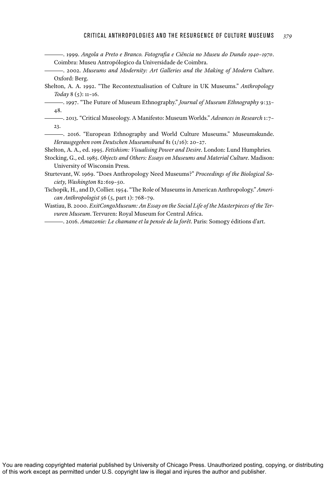- ———. 1999. *Angola a Preto e Branco. Fotografia e Ciência no Museu do Dundo 1940–1970*. Coimbra: Museu Antropólogico da Universidade de Coimbra.
- ———. 2002. *Museums and Modernity: Art Galleries and the Making of Modern Culture*. Oxford: Berg.
- Shelton, A. A. 1992. "The Recontextualisation of Culture in UK Museums." *Anthropology Today* 8 (5): 11–16.

———. 1997. "The Future of Museum Ethnography." *Journal of Museum Ethnography* 9:33– 48.

———. 2013. "Critical Museology. A Manifesto: Museum Worlds." *Advances in Research* 1:7– 23.

-. 2016. "European Ethnography and World Culture Museums." Museumskunde. *Herausgegeben vom Deutschen Museumsbund* 81 (1/16): 20–27.

Shelton, A. A., ed. 1995. *Fetishism: Visualising Power and Desire*. London: Lund Humphries.

Stocking, G., ed. 1985. *Objects and Others: Essays on Museums and Material Culture*. Madison: University of Wisconsin Press.

Sturtevant, W. 1969. "Does Anthropology Need Museums?" *Proceedings of the Biological Society, Washington* 82:619–50.

Tschopik, H., and D, Collier. 1954. "The Role of Museums in American Anthropology." *American Anthropologist* 56 (5, part 1): 768–79.

Wastiau, B. 2000. *ExitCongoMuseum: An Essay on the Social Life of the Masterpieces of the Ter vuren Museum*. Tervuren: Royal Museum for Central Africa.

———. 2016. *Amazonie: Le chamane et la pensée de la forêt*. Paris: Somogy éditions d'art.